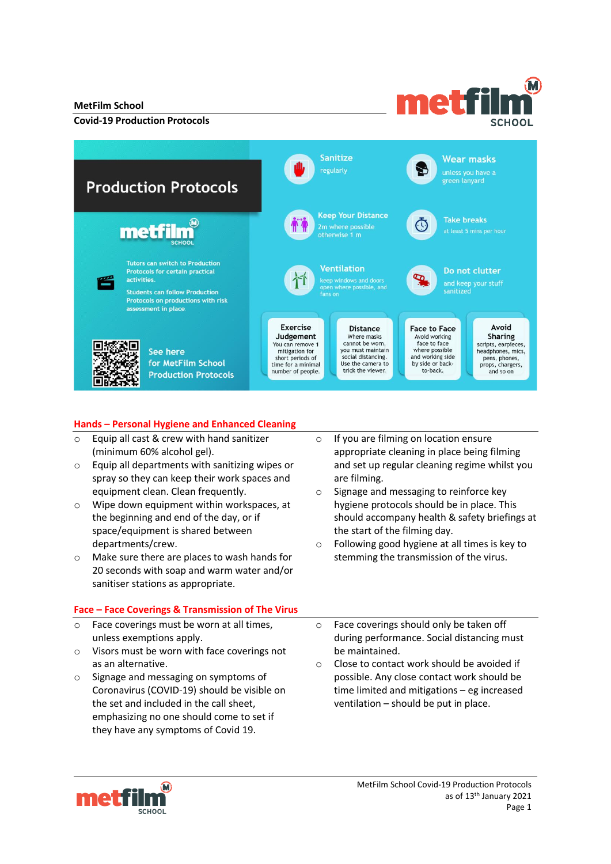### **MetFilm School**

### **Covid-19 Production Protocols**



## **Hands – Personal Hygiene and Enhanced Cleaning**

- o Equip all cast & crew with hand sanitizer (minimum 60% alcohol gel).
- o Equip all departments with sanitizing wipes or spray so they can keep their work spaces and equipment clean. Clean frequently.
- o Wipe down equipment within workspaces, at the beginning and end of the day, or if space/equipment is shared between departments/crew.
- o Make sure there are places to wash hands for 20 seconds with soap and warm water and/or sanitiser stations as appropriate.

### **Face – Face Coverings & Transmission of The Virus**

- Face coverings must be worn at all times. unless exemptions apply.
- o Visors must be worn with face coverings not as an alternative.
- o Signage and messaging on symptoms of Coronavirus (COVID-19) should be visible on the set and included in the call sheet, emphasizing no one should come to set if they have any symptoms of Covid 19.

o If you are filming on location ensure appropriate cleaning in place being filming and set up regular cleaning regime whilst you are filming.

met fi

- o Signage and messaging to reinforce key hygiene protocols should be in place. This should accompany health & safety briefings at the start of the filming day.
- o Following good hygiene at all times is key to stemming the transmission of the virus.
- o Face coverings should only be taken off during performance. Social distancing must be maintained.
- o Close to contact work should be avoided if possible. Any close contact work should be time limited and mitigations – eg increased ventilation – should be put in place.